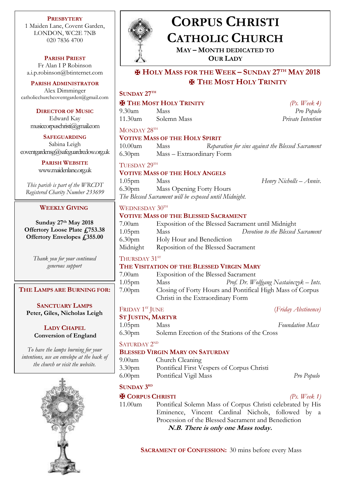**PRESBYTERY** 1 Maiden Lane, Covent Garden, LONDON, WC2E 7NB 020 7836 4700

**PARISH PRIEST**

Fr Alan I P Robinson [a.i.p.robinson@btinternet.com](mailto:a.i.p.robinson@btinternet.com)

**PARISH ADMINISTRATOR** Alex Dimminger [catholicchurchcoventgarden@gmail.com](mailto:catholicchurchcoventgarden@gmail.com)

> **DIRECTOR OF MUSIC** Edward Kay musiccorpuschristi@gmail.com

**SAFEGUARDING** Sabina Leigh [coventgardensg@safeguardrcdow.org.uk](mailto:coventgardensg@safeguardrcdow.org.uk)

> **PARISH WEBSITE** [www.maidenlane.org.uk](http://www.maidenlane.org.uk/)

*This parish is part of the WRCDT Registered Charity Number 233699*

#### **WEEKLY GIVING**

**Sunday 27th May 2018 Offertory Loose Plate £753.38 Offertory Envelopes £355.00**

> *Thank you for your continued generous support*

**THE LAMPS ARE BURNING FOR:**

**SANCTUARY LAMPS Peter, Giles, Nicholas Leigh**

## **LADY CHAPEL Conversion of England**

*To have the lamps burning for your intentions, use an envelope at the back of the church or visit the website.*





# **CORPUS CHRISTI CATHOLIC CHURCH**

**MAY – MONTH DEDICATED TO OUR LADY**

✠ **HOLY MASS FOR THE WEEK – SUNDAY 27TH MAY 2018** ✠ **THE MOST HOLY TRINITY**

**SUNDAY 27TH** ✠ **THE MOST HOLY TRINITY** *(Ps. Week 4)*

9.30am Mass *Pro Populo* 11.30am Solemn Mass *Private Intention*

MONDAY 28<sup>TH</sup>

#### **VOTIVE MASS OF THE HOLY SPIRIT**

| 10.00am | Mass                      | Reparation for sins against the Blessed Sacrament |
|---------|---------------------------|---------------------------------------------------|
| 6.30pm  | Mass – Extraordinary Form |                                                   |

TUESDAY 29TH

#### **VOTIVE MASS OF THE HOLY ANGELS**

1.05pm Mass *Henry Nicholls – Anniv.* 6.30pm Mass Opening Forty Hours *The Blessed Sacrament will be exposed until Midnight.*

# WEDNESDAY 30TH

#### **VOTIVE MASS OF THE BLESSED SACRAMENT**

| $7.00$ am          | Exposition of the Blessed Sacrament until Midnight |                                   |
|--------------------|----------------------------------------------------|-----------------------------------|
| $1.05$ pm          | Mass                                               | Devotion to the Blessed Sacrament |
| 6.30 <sub>pm</sub> | Holy Hour and Benediction                          |                                   |
| Midnight           | Reposition of the Blessed Sacrament                |                                   |

# THURSDAY 31ST

- 7.00am Exposition of the Blessed Sacrament
- 1.05pm Mass *Prof. Dr. Wolfgang Nastainczyk – Ints.* 7.00pm Closing of Forty Hours and Pontifical High Mass of Corpus Christi in the Extraordinary Form

FRIDAY 1ST JUNE

# **ST JUSTIN, MARTYR**

1.05pm Mass *Foundation Mass* 6.30pm Solemn Erection of the Stations of the Cross

SATURDAY 2<sup>ND</sup>

## **BLESSED VIRGIN MARY ON SATURDAY**

9.00am Church Cleaning 3.30pm Pontifical First Vespers of Corpus Christi 6.00pm Pontifical Vigil Mass *Pro Populo*

# **SUNDAY 3 RD**

## ✠ **CORPUS CHRISTI** *(Ps. Week 1)*

11.00am Pontifical Solemn Mass of Corpus Christi celebrated by His Eminence, Vincent Cardinal Nichols, followed by a Procession of the Blessed Sacrament and Benediction **N.B. There is only one Mass today.**

**SACRAMENT OF CONFESSION:** 30 mins before every Mass

(*Friday Abstinence*)